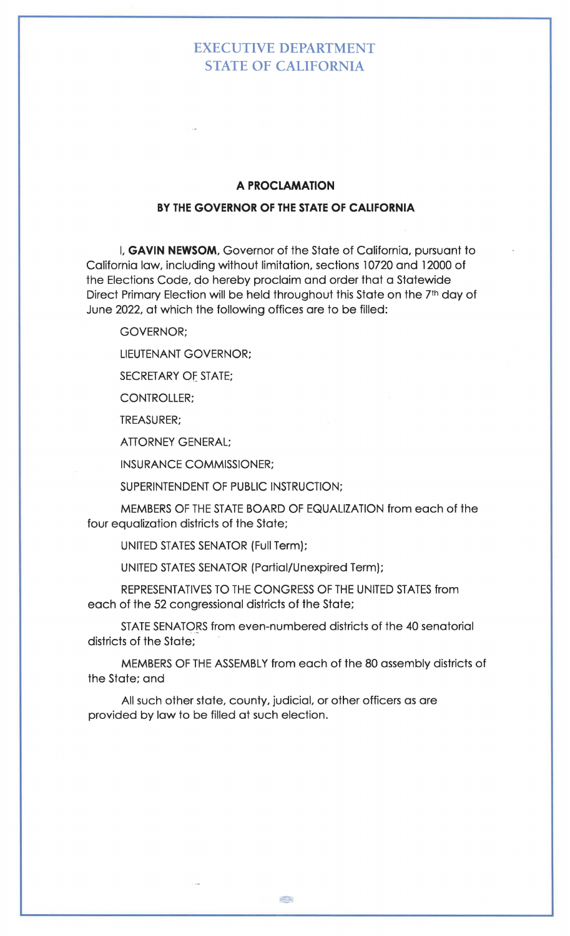## EXECUTIVE DEPARTMENT STATE OF CALIFORNIA

## **A PROCLAMATION**

## **BY THE GOVERNOR OF THE STATE OF CALIFORNIA**

I, **GAVIN NEWSOM,** Governor of the State of California, pursuant to California law, including without limitation, sections l 0720 and 12000 of the Elections Code, qo hereby proclaim and order that a Statewide Direct Primary Election will be held throughout this State on the 7<sup>th</sup> day of June 2022, at which the following offices are to be filled:

GOVERNOR;

LIEUTENANT GOVERNOR;

SECRETARY OE STATE;

CONTROLLER;

TREASURER;

ATTORNEY GENERAL;

INSURANCE COMMISSIONER;

SUPERINTENDENT OF PUBLIC INSTRUCTION;

MEMBERS OF THE STATE BOARD OF EQUALIZATION from each of the four equalization districts of the State;

UNITED STATES SENATOR (Full Term);

UNITED STATES SENATOR (Partial/Unexpired Term);

REPRESENTATIVES TO THE CONGRESS OF THE UNITED STATES from each of the 52 congressional districts of the State;

STATE SENATORS from even-numbered districts of the 40 senatorial districts of the State;

MEMBERS OF THE ASSEMBLY from each of the 80 assembly districts of the State; and

All such other state, county, judicial, or other officers as are provided by law to be filled at such election.